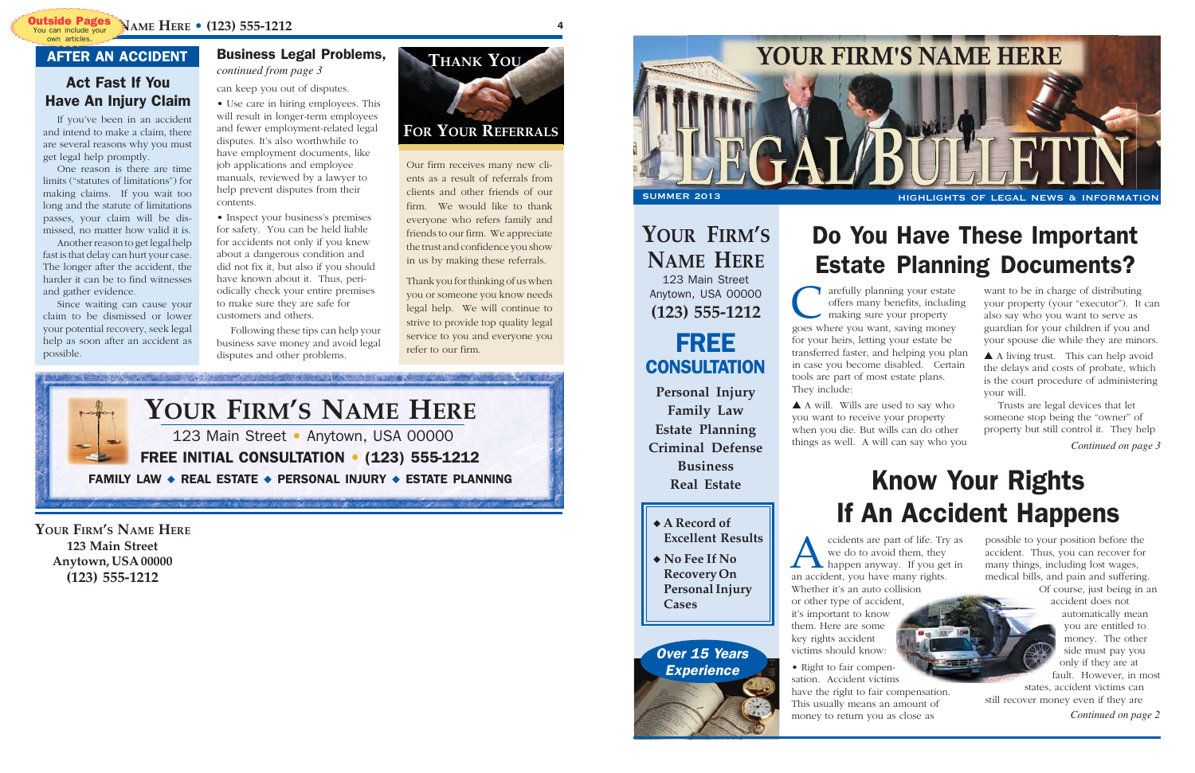# Know Your Rights If An Accident Happens

# Do You Have These Important Estate Planning Documents?

want to be in charge of distributing your property (your "executor"). It can also say who you want to serve as guardian for your children if you and your spouse die while they are minors.

**C** arefully planning your estate offers many benefits, including making sure your property goes where you want, saving money arefully planning your estate offers many benefits, including making sure your property for your heirs, letting your estate be transferred faster, and helping you plan in case you become disabled. Certain tools are part of most estate plans. They include:

▲ A living trust. This can help avoid the delays and costs of probate, which is the court procedure of administering your will.

Trusts are legal devices that let someone stop being the "owner" of property but still control it. They help

*Continued on page 3*

cidents are part of life. Try<br>we do to avoid them, they<br>happen anyway. If you ge<br>an accident, you have many rights. ccidents are part of life. Try as we do to avoid them, they happen anyway. If you get in Whether it's an auto collision or other type of accident, it's important to know them. Here are some key rights accident victims should know:

#### **Personal Injury Family Law Estate Planning Criminal Defense CONSULTATION**

▲ A will. Wills are used to say who you want to receive your property when you die. But wills can do other things as well. A will can say who you

Over 15 Years **Experience** 

*Continued on page 2*

possible to your position before the accident. Thus, you can recover for many things, including lost wages, medical bills, and pain and suffering.

Of course, just being in an accident does not automatically mean you are entitled to money. The other side must pay you only if they are at fault. However, in most

states, accident victims can still recover money even if they are

• Right to fair compensation. Accident victims have the right to fair compensation. This usually means an amount of money to return you as close as

**Business Real Estate**

FREE

# **YOUR FIRM'S**



**NAME HERE** 123 Main Street Anytown, USA 00000 **(123) 555-1212**

◆ **A Record of Excellent Results** ◆ **No Fee If No Recovery On**

**Personal Injury**

**Cases**

4

#### Business Legal Problems, *continued from page 3*

**YOUR FIRM'S NAME HERE 123 Main Street Anytown, USA 00000 (123) 555-1212**

can keep you out of disputes.

- Use care in hiring employees. This will result in longer-term employees and fewer employment-related legal disputes. It's also worthwhile to have employment documents, like job applications and employee manuals, reviewed by a lawyer to help prevent disputes from their contents.
- Inspect your business's premises for safety. You can be held liable for accidents not only if you knew about a dangerous condition and did not fix it, but also if you should have known about it. Thus, periodically check your entire premises to make sure they are safe for customers and others.

Following these tips can help your business save money and avoid legal disputes and other problems.

If you've been in an accident and intend to make a claim, there are several reasons why you must get legal help promptly.

One reason is there are time limits ("statutes of limitations") for making claims. If you wait too long and the statute of limitations passes, your claim will be dismissed, no matter how valid it is.

Another reason to get legal help fast is that delay can hurt your case. The longer after the accident, the harder it can be to find witnesses and gather evidence.

Since waiting can cause your claim to be dismissed or lower your potential recovery, seek legal help as soon after an accident as possible.

Our firm receives many new clients as a result of referrals from clients and other friends of our firm. We would like to thank everyone who refers family and friends to our firm. We appreciate the trust and confidence you show in us by making these referrals.

Thank you for thinking of us when you or someone you know needs legal help. We will continue to strive to provide top quality legal service to you and everyone you refer to our firm.

### **FOR YOUR REFERRALS**



#### Act Fast If You Have An Injury Claim

#### AFTER AN ACCIDENT



own articles.